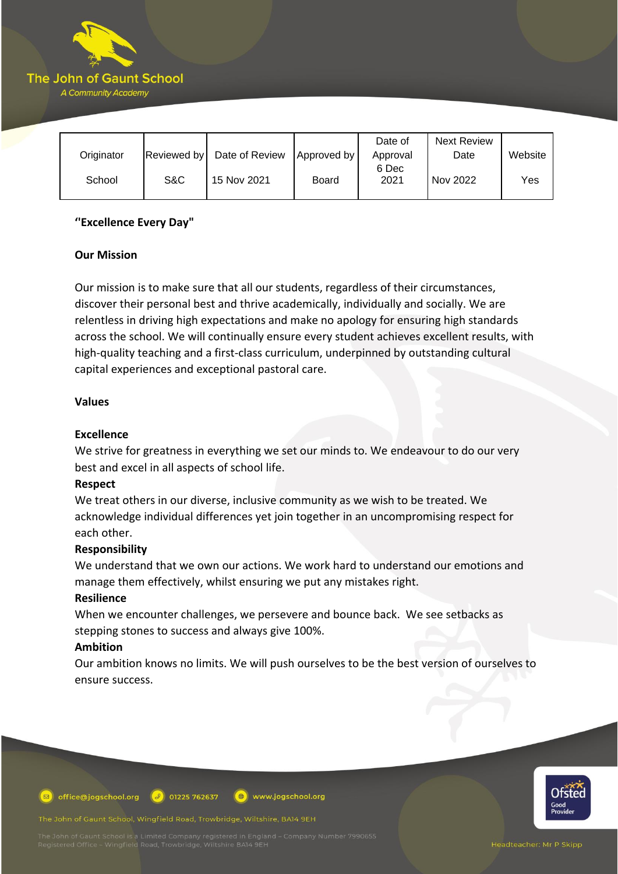

|            |             |                |                      | Date of  | <b>Next Review</b> |         |
|------------|-------------|----------------|----------------------|----------|--------------------|---------|
| Originator | Reviewed by | Date of Review | <b>Approved by I</b> | Approval | Date               | Website |
|            |             |                |                      | 6 Dec    |                    |         |
| School     | S&C         | 15 Nov 2021    | Board                | 2021     | Nov 2022           | Yes     |
|            |             |                |                      |          |                    |         |

## **''Excellence Every Day"**

## **Our Mission**

Our mission is to make sure that all our students, regardless of their circumstances, discover their personal best and thrive academically, individually and socially. We are relentless in driving high expectations and make no apology for ensuring high standards across the school. We will continually ensure every student achieves excellent results, with high-quality teaching and a first-class curriculum, underpinned by outstanding cultural capital experiences and exceptional pastoral care.

## **Values**

# **Excellence**

We strive for greatness in everything we set our minds to. We endeavour to do our very best and excel in all aspects of school life.

## **Respect**

We treat others in our diverse, inclusive community as we wish to be treated. We acknowledge individual differences yet join together in an uncompromising respect for each other.

## **Responsibility**

We understand that we own our actions. We work hard to understand our emotions and manage them effectively, whilst ensuring we put any mistakes right.

## **Resilience**

When we encounter challenges, we persevere and bounce back. We see setbacks as stepping stones to success and always give 100%.

## **Ambition**

Our ambition knows no limits. We will push ourselves to be the best version of ourselves to ensure success.



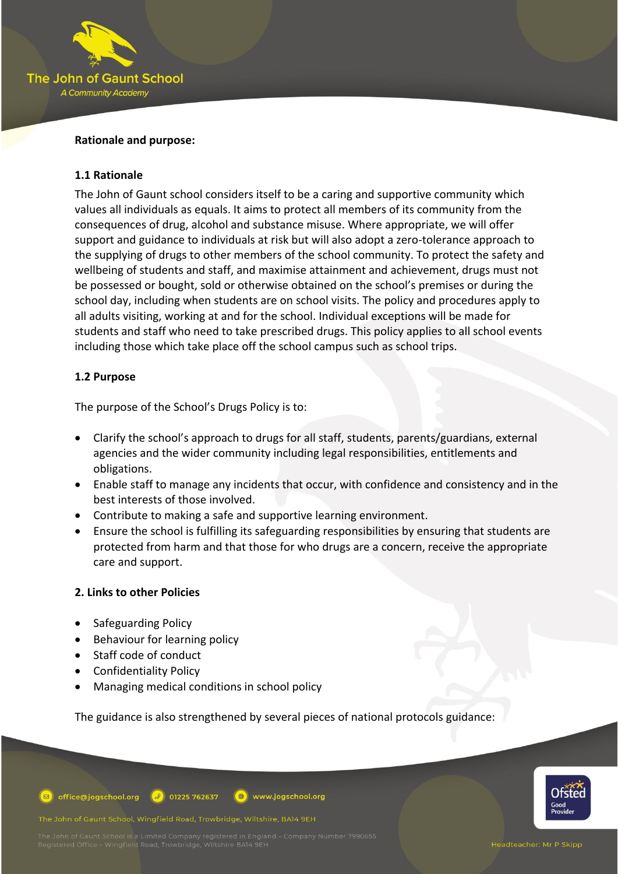

### **Rationale and purpose:**

### **1.1 Rationale**

The John of Gaunt school considers itself to be a caring and supportive community which values all individuals as equals. It aims to protect all members of its community from the consequences of drug, alcohol and substance misuse. Where appropriate, we will offer support and guidance to individuals at risk but will also adopt a zero-tolerance approach to the supplying of drugs to other members of the school community. To protect the safety and wellbeing of students and staff, and maximise attainment and achievement, drugs must not be possessed or bought, sold or otherwise obtained on the school's premises or during the school day, including when students are on school visits. The policy and procedures apply to all adults visiting, working at and for the school. Individual exceptions will be made for students and staff who need to take prescribed drugs. This policy applies to all school events including those which take place off the school campus such as school trips.

## **1.2 Purpose**

The purpose of the School's Drugs Policy is to:

- Clarify the school's approach to drugs for all staff, students, parents/guardians, external agencies and the wider community including legal responsibilities, entitlements and obligations.
- Enable staff to manage any incidents that occur, with confidence and consistency and in the best interests of those involved.
- Contribute to making a safe and supportive learning environment.
- Ensure the school is fulfilling its safeguarding responsibilities by ensuring that students are protected from harm and that those for who drugs are a concern, receive the appropriate care and support.

#### **2. Links to other Policies**

- Safeguarding Policy
- Behaviour for learning policy
- Staff code of conduct
- Confidentiality Policy
- Managing medical conditions in school policy

The guidance is also strengthened by several pieces of national protocols guidance:



The John of Gaunt School, Wingfield Road, Trowbridge, Wiltshire, BA14 9EH



Headteacher: Mr P Skipp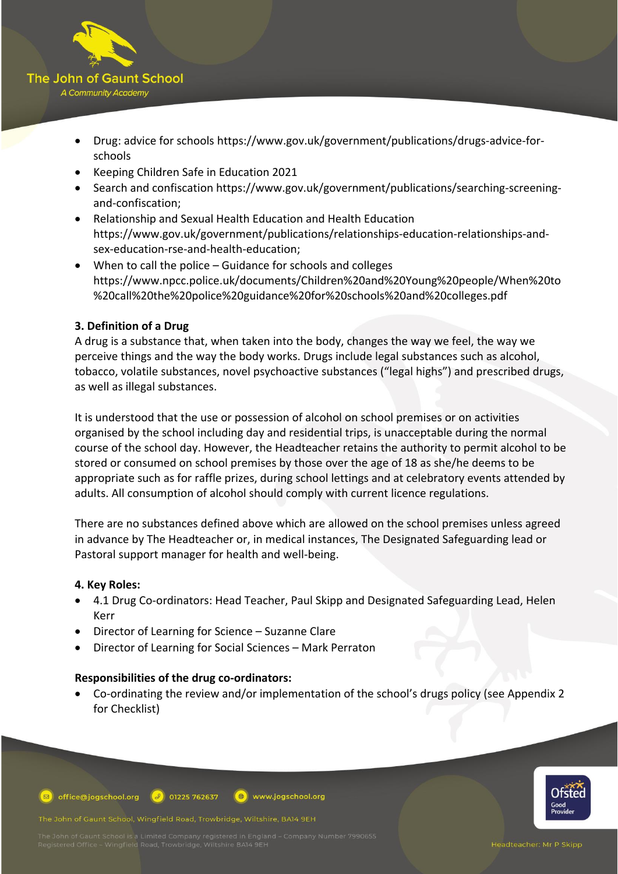

- Drug: advice for schools [https://www.gov.uk/government/publications/drugs-advice-for](https://www.gov.uk/government/publications/drugs-advice-for-schools)[schools](https://www.gov.uk/government/publications/drugs-advice-for-schools)
- Keeping Children Safe in Education 2021
- Search and confiscation [https://www.gov.uk/government/publications/searching-screening](https://www.gov.uk/government/publications/searching-screening-and-confiscation)[and-confiscation;](https://www.gov.uk/government/publications/searching-screening-and-confiscation)
- Relationship and Sexual Health Education and Health Education [https://www.gov.uk/government/publications/relationships-education-relationships-and](https://www.gov.uk/government/publications/relationships-education-relationships-and-sex-education-rse-and-health-education)[sex-education-rse-and-health-education;](https://www.gov.uk/government/publications/relationships-education-relationships-and-sex-education-rse-and-health-education)
- When to call the police Guidance for schools and colleges [https://www.npcc.police.uk/documents/Children%20and%20Young%20people/When%20to](https://www.npcc.police.uk/documents/Children%20and%20Young%20people/When%20to%20call%20the%20police%20guidance%20for%20schools%20and%20colleges.pdf) [%20call%20the%20police%20guidance%20for%20schools%20and%20colleges.pdf](https://www.npcc.police.uk/documents/Children%20and%20Young%20people/When%20to%20call%20the%20police%20guidance%20for%20schools%20and%20colleges.pdf)

# **3. Definition of a Drug**

A drug is a substance that, when taken into the body, changes the way we feel, the way we perceive things and the way the body works. Drugs include legal substances such as alcohol, tobacco, volatile substances, novel psychoactive substances ("legal highs") and prescribed drugs, as well as illegal substances.

It is understood that the use or possession of alcohol on school premises or on activities organised by the school including day and residential trips, is unacceptable during the normal course of the school day. However, the Headteacher retains the authority to permit alcohol to be stored or consumed on school premises by those over the age of 18 as she/he deems to be appropriate such as for raffle prizes, during school lettings and at celebratory events attended by adults. All consumption of alcohol should comply with current licence regulations.

There are no substances defined above which are allowed on the school premises unless agreed in advance by The Headteacher or, in medical instances, The Designated Safeguarding lead or Pastoral support manager for health and well-being.

## **4. Key Roles:**

- 4.1 Drug Co-ordinators: Head Teacher, Paul Skipp and Designated Safeguarding Lead, Helen Kerr
- Director of Learning for Science Suzanne Clare
- Director of Learning for Social Sciences Mark Perraton

#### **Responsibilities of the drug co-ordinators:**

• Co-ordinating the review and/or implementation of the school's drugs policy (see Appendix 2 for Checklist)

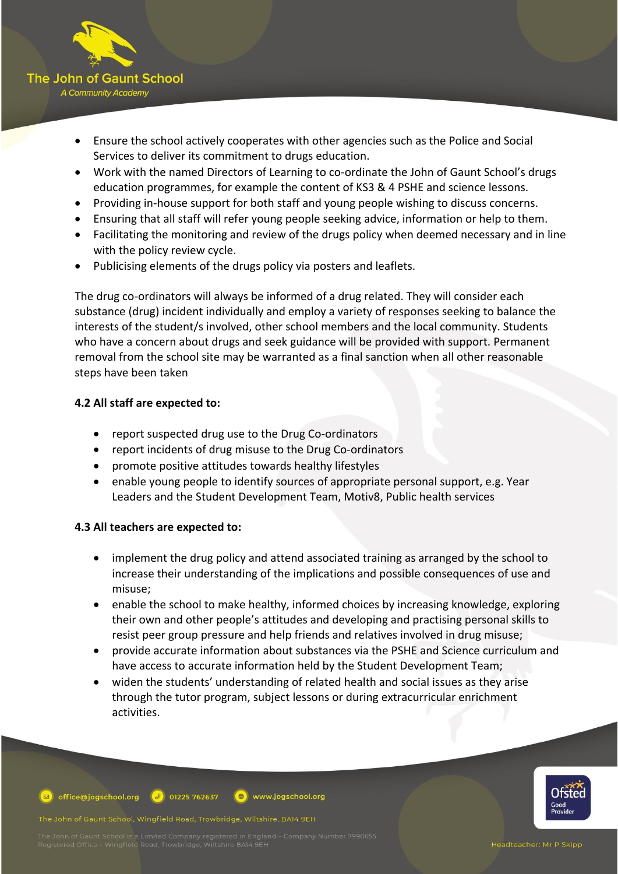

- Ensure the school actively cooperates with other agencies such as the Police and Social Services to deliver its commitment to drugs education.
- Work with the named Directors of Learning to co-ordinate the John of Gaunt School's drugs education programmes, for example the content of KS3 & 4 PSHE and science lessons.
- Providing in-house support for both staff and young people wishing to discuss concerns.
- Ensuring that all staff will refer young people seeking advice, information or help to them.
- Facilitating the monitoring and review of the drugs policy when deemed necessary and in line with the policy review cycle.
- Publicising elements of the drugs policy via posters and leaflets.

The drug co-ordinators will always be informed of a drug related. They will consider each substance (drug) incident individually and employ a variety of responses seeking to balance the interests of the student/s involved, other school members and the local community. Students who have a concern about drugs and seek guidance will be provided with support. Permanent removal from the school site may be warranted as a final sanction when all other reasonable steps have been taken

# **4.2 All staff are expected to:**

- report suspected drug use to the Drug Co-ordinators
- report incidents of drug misuse to the Drug Co-ordinators
- promote positive attitudes towards healthy lifestyles
- enable young people to identify sources of appropriate personal support, e.g. Year Leaders and the Student Development Team, Motiv8, Public health services

# **4.3 All teachers are expected to:**

- implement the drug policy and attend associated training as arranged by the school to increase their understanding of the implications and possible consequences of use and misuse;
- enable the school to make healthy, informed choices by increasing knowledge, exploring their own and other people's attitudes and developing and practising personal skills to resist peer group pressure and help friends and relatives involved in drug misuse;
- provide accurate information about substances via the PSHE and Science curriculum and have access to accurate information held by the Student Development Team;
- widen the students' understanding of related health and social issues as they arise through the tutor program, subject lessons or during extracurricular enrichment activities.



office@jogschool.org  $\bigcirc$  01225 762637 www.jogschool.org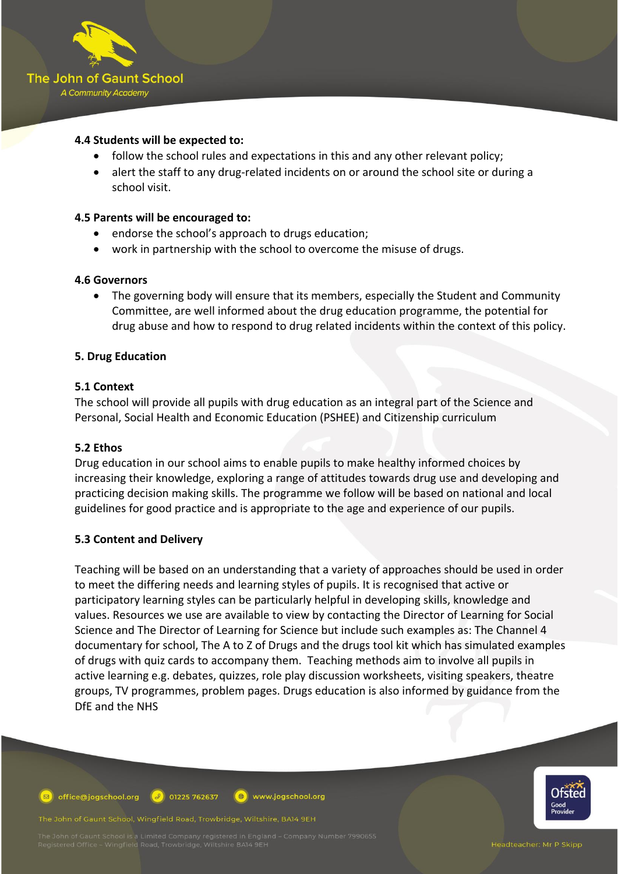

### **4.4 Students will be expected to:**

- follow the school rules and expectations in this and any other relevant policy;
- alert the staff to any drug-related incidents on or around the school site or during a school visit.

#### **4.5 Parents will be encouraged to:**

- endorse the school's approach to drugs education;
- work in partnership with the school to overcome the misuse of drugs.

#### **4.6 Governors**

• The governing body will ensure that its members, especially the Student and Community Committee, are well informed about the drug education programme, the potential for drug abuse and how to respond to drug related incidents within the context of this policy.

#### **5. Drug Education**

#### **5.1 Context**

The school will provide all pupils with drug education as an integral part of the Science and Personal, Social Health and Economic Education (PSHEE) and Citizenship curriculum

#### **5.2 Ethos**

Drug education in our school aims to enable pupils to make healthy informed choices by increasing their knowledge, exploring a range of attitudes towards drug use and developing and practicing decision making skills. The programme we follow will be based on national and local guidelines for good practice and is appropriate to the age and experience of our pupils.

#### **5.3 Content and Delivery**

Teaching will be based on an understanding that a variety of approaches should be used in order to meet the differing needs and learning styles of pupils. It is recognised that active or participatory learning styles can be particularly helpful in developing skills, knowledge and values. Resources we use are available to view by contacting the Director of Learning for Social Science and The Director of Learning for Science but include such examples as: The Channel 4 documentary for school, The A to Z of Drugs and the drugs tool kit which has simulated examples of drugs with quiz cards to accompany them. Teaching methods aim to involve all pupils in active learning e.g. debates, quizzes, role play discussion worksheets, visiting speakers, theatre groups, TV programmes, problem pages. Drugs education is also informed by guidance from the DfE and the NHS

office@jogschool.org  $\boxed{9}$  01225 762637  $\left( \bigoplus \right)$ www.jogschool.org

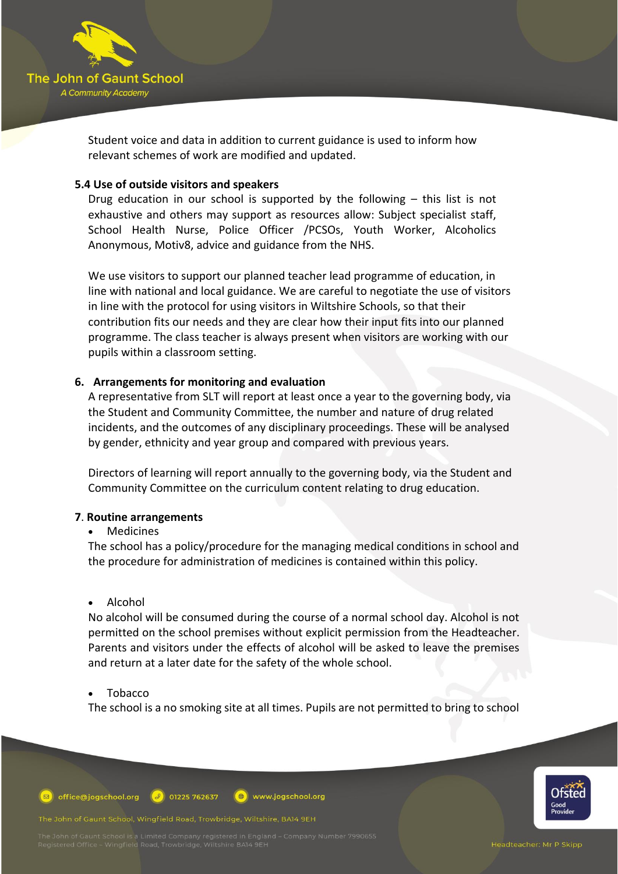

Student voice and data in addition to current guidance is used to inform how relevant schemes of work are modified and updated.

#### **5.4 Use of outside visitors and speakers**

Drug education in our school is supported by the following – this list is not exhaustive and others may support as resources allow: Subject specialist staff, School Health Nurse, Police Officer /PCSOs, Youth Worker, Alcoholics Anonymous, Motiv8, advice and guidance from the NHS.

We use visitors to support our planned teacher lead programme of education, in line with national and local guidance. We are careful to negotiate the use of visitors in line with the protocol for using visitors in Wiltshire Schools, so that their contribution fits our needs and they are clear how their input fits into our planned programme. The class teacher is always present when visitors are working with our pupils within a classroom setting.

## **6. Arrangements for monitoring and evaluation**

A representative from SLT will report at least once a year to the governing body, via the Student and Community Committee, the number and nature of drug related incidents, and the outcomes of any disciplinary proceedings. These will be analysed by gender, ethnicity and year group and compared with previous years.

Directors of learning will report annually to the governing body, via the Student and Community Committee on the curriculum content relating to drug education.

#### **7**. **Routine arrangements**

#### • Medicines

The school has a policy/procedure for the managing medical conditions in school and the procedure for administration of medicines is contained within this policy.

#### • Alcohol

No alcohol will be consumed during the course of a normal school day. Alcohol is not permitted on the school premises without explicit permission from the Headteacher. Parents and visitors under the effects of alcohol will be asked to leave the premises and return at a later date for the safety of the whole school.

#### • Tobacco

The school is a no smoking site at all times. Pupils are not permitted to bring to school

office@jogschool.org  $\bigcirc$  01225 762637 www.jogschool.org

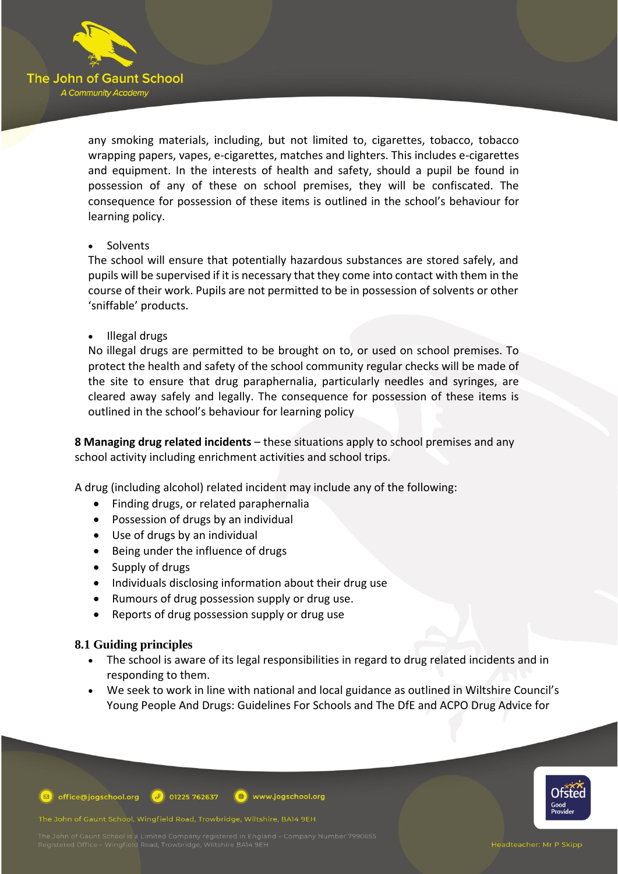

any smoking materials, including, but not limited to, cigarettes, tobacco, tobacco wrapping papers, vapes, e-cigarettes, matches and lighters. This includes e-cigarettes and equipment. In the interests of health and safety, should a pupil be found in possession of any of these on school premises, they will be confiscated. The consequence for possession of these items is outlined in the school's behaviour for learning policy.

#### **Solvents**

The school will ensure that potentially hazardous substances are stored safely, and pupils will be supervised if it is necessary that they come into contact with them in the course of their work. Pupils are not permitted to be in possession of solvents or other 'sniffable' products.

• Illegal drugs

No illegal drugs are permitted to be brought on to, or used on school premises. To protect the health and safety of the school community regular checks will be made of the site to ensure that drug paraphernalia, particularly needles and syringes, are cleared away safely and legally. The consequence for possession of these items is outlined in the school's behaviour for learning policy

**8 Managing drug related incidents** – these situations apply to school premises and any school activity including enrichment activities and school trips.

A drug (including alcohol) related incident may include any of the following:

- Finding drugs, or related paraphernalia
- Possession of drugs by an individual
- Use of drugs by an individual
- Being under the influence of drugs
- Supply of drugs
- Individuals disclosing information about their drug use
- Rumours of drug possession supply or drug use.
- Reports of drug possession supply or drug use

#### **8.1 Guiding principles**

- The school is aware of its legal responsibilities in regard to drug related incidents and in responding to them.
- We seek to work in line with national and local guidance as outlined in Wiltshire Council's Young People And Drugs: Guidelines For Schools and The DfE and ACPO Drug Advice for



office@jogschool.org  $\bigcirc$  01225 762637 www.jogschool.org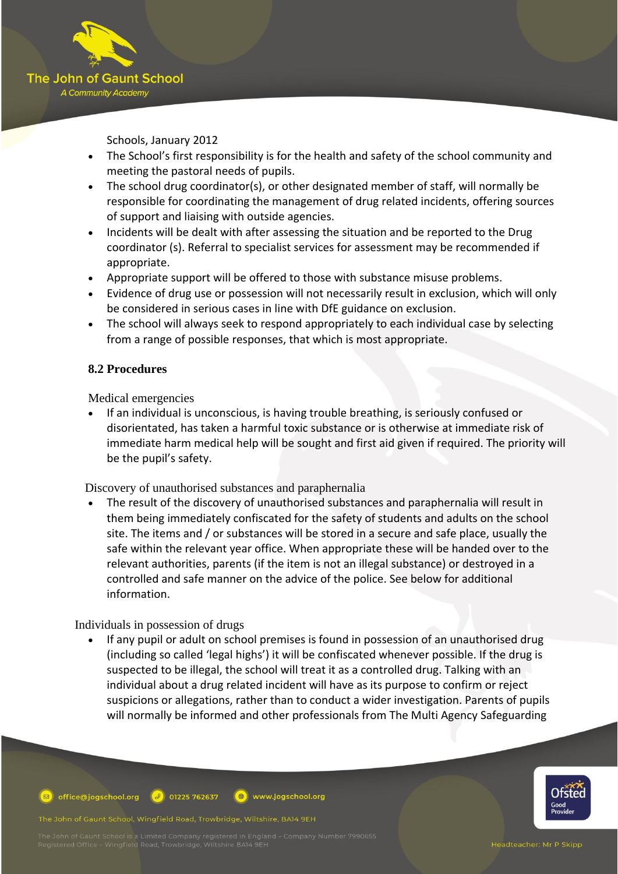

Schools, January 2012

- The School's first responsibility is for the health and safety of the school community and meeting the pastoral needs of pupils.
- The school drug coordinator(s), or other designated member of staff, will normally be responsible for coordinating the management of drug related incidents, offering sources of support and liaising with outside agencies.
- Incidents will be dealt with after assessing the situation and be reported to the Drug coordinator (s). Referral to specialist services for assessment may be recommended if appropriate.
- Appropriate support will be offered to those with substance misuse problems.
- Evidence of drug use or possession will not necessarily result in exclusion, which will only be considered in serious cases in line with DfE guidance on exclusion.
- The school will always seek to respond appropriately to each individual case by selecting from a range of possible responses, that which is most appropriate.

# **8.2 Procedures**

Medical emergencies

• If an individual is unconscious, is having trouble breathing, is seriously confused or disorientated, has taken a harmful toxic substance or is otherwise at immediate risk of immediate harm medical help will be sought and first aid given if required. The priority will be the pupil's safety.

Discovery of unauthorised substances and paraphernalia

• The result of the discovery of unauthorised substances and paraphernalia will result in them being immediately confiscated for the safety of students and adults on the school site. The items and / or substances will be stored in a secure and safe place, usually the safe within the relevant year office. When appropriate these will be handed over to the relevant authorities, parents (if the item is not an illegal substance) or destroyed in a controlled and safe manner on the advice of the police. See below for additional information.

Individuals in possession of drugs

If any pupil or adult on school premises is found in possession of an unauthorised drug (including so called 'legal highs') it will be confiscated whenever possible. If the drug is suspected to be illegal, the school will treat it as a controlled drug. Talking with an individual about a drug related incident will have as its purpose to confirm or reject suspicions or allegations, rather than to conduct a wider investigation. Parents of pupils will normally be informed and other professionals from The Multi Agency Safeguarding



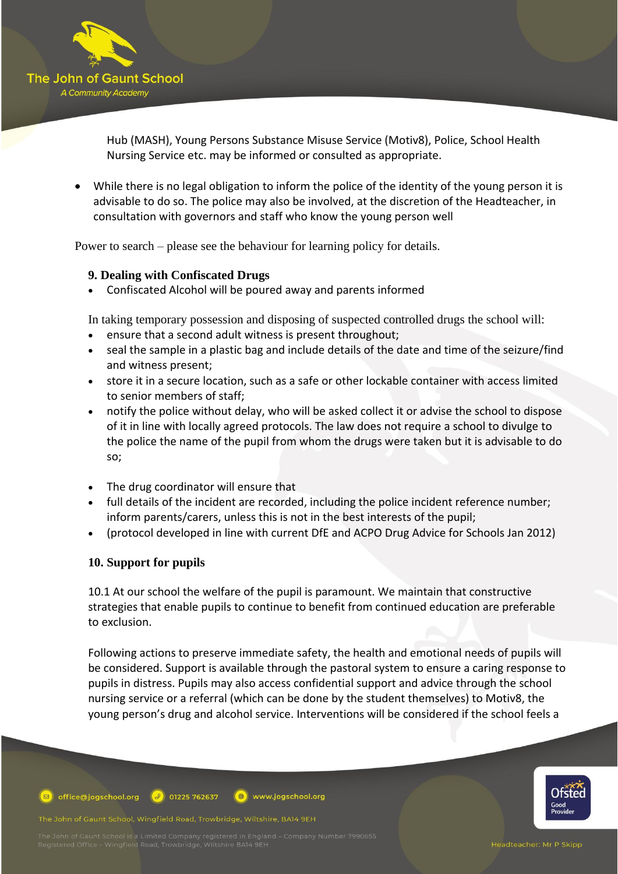

Hub (MASH), Young Persons Substance Misuse Service (Motiv8), Police, School Health Nursing Service etc. may be informed or consulted as appropriate.

• While there is no legal obligation to inform the police of the identity of the young person it is advisable to do so. The police may also be involved, at the discretion of the Headteacher, in consultation with governors and staff who know the young person well

Power to search – please see the behaviour for learning policy for details.

## **9. Dealing with Confiscated Drugs**

• Confiscated Alcohol will be poured away and parents informed

In taking temporary possession and disposing of suspected controlled drugs the school will:

- ensure that a second adult witness is present throughout;
- seal the sample in a plastic bag and include details of the date and time of the seizure/find and witness present;
- store it in a secure location, such as a safe or other lockable container with access limited to senior members of staff;
- notify the police without delay, who will be asked collect it or advise the school to dispose of it in line with locally agreed protocols. The law does not require a school to divulge to the police the name of the pupil from whom the drugs were taken but it is advisable to do so;
- The drug coordinator will ensure that
- full details of the incident are recorded, including the police incident reference number; inform parents/carers, unless this is not in the best interests of the pupil;
- (protocol developed in line with current DfE and ACPO Drug Advice for Schools Jan 2012)

## **10. Support for pupils**

10.1 At our school the welfare of the pupil is paramount. We maintain that constructive strategies that enable pupils to continue to benefit from continued education are preferable to exclusion.

Following actions to preserve immediate safety, the health and emotional needs of pupils will be considered. Support is available through the pastoral system to ensure a caring response to pupils in distress. Pupils may also access confidential support and advice through the school nursing service or a referral (which can be done by the student themselves) to Motiv8, the young person's drug and alcohol service. Interventions will be considered if the school feels a

office@jogschool.org  $\bigcirc$  01225 762637 www.jogschool.org

The John of Gaunt School, Wingfield Road, Trowbridge, Wiltshire, BA14 9EH

Headteacher: Mr P Skipp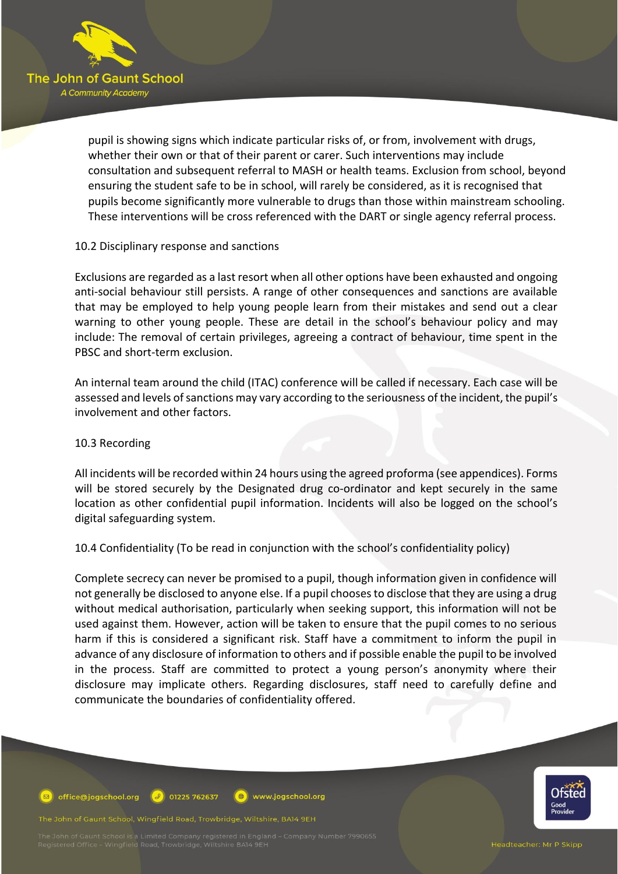

pupil is showing signs which indicate particular risks of, or from, involvement with drugs, whether their own or that of their parent or carer. Such interventions may include consultation and subsequent referral to MASH or health teams. Exclusion from school, beyond ensuring the student safe to be in school, will rarely be considered, as it is recognised that pupils become significantly more vulnerable to drugs than those within mainstream schooling. These interventions will be cross referenced with the DART or single agency referral process.

#### 10.2 Disciplinary response and sanctions

Exclusions are regarded as a last resort when all other options have been exhausted and ongoing anti-social behaviour still persists. A range of other consequences and sanctions are available that may be employed to help young people learn from their mistakes and send out a clear warning to other young people. These are detail in the school's behaviour policy and may include: The removal of certain privileges, agreeing a contract of behaviour, time spent in the PBSC and short-term exclusion.

An internal team around the child (ITAC) conference will be called if necessary. Each case will be assessed and levels of sanctions may vary according to the seriousness of the incident, the pupil's involvement and other factors.

#### 10.3 Recording

All incidents will be recorded within 24 hours using the agreed proforma (see appendices). Forms will be stored securely by the Designated drug co-ordinator and kept securely in the same location as other confidential pupil information. Incidents will also be logged on the school's digital safeguarding system.

10.4 Confidentiality (To be read in conjunction with the school's confidentiality policy)

Complete secrecy can never be promised to a pupil, though information given in confidence will not generally be disclosed to anyone else. If a pupil chooses to disclose that they are using a drug without medical authorisation, particularly when seeking support, this information will not be used against them. However, action will be taken to ensure that the pupil comes to no serious harm if this is considered a significant risk. Staff have a commitment to inform the pupil in advance of any disclosure of information to others and if possible enable the pupil to be involved in the process. Staff are committed to protect a young person's anonymity where their disclosure may implicate others. Regarding disclosures, staff need to carefully define and communicate the boundaries of confidentiality offered.

office@jogschool.org  $\left( 3 \right)$  01225 762637  $\left( \bigoplus \right)$ www.jogschool.org